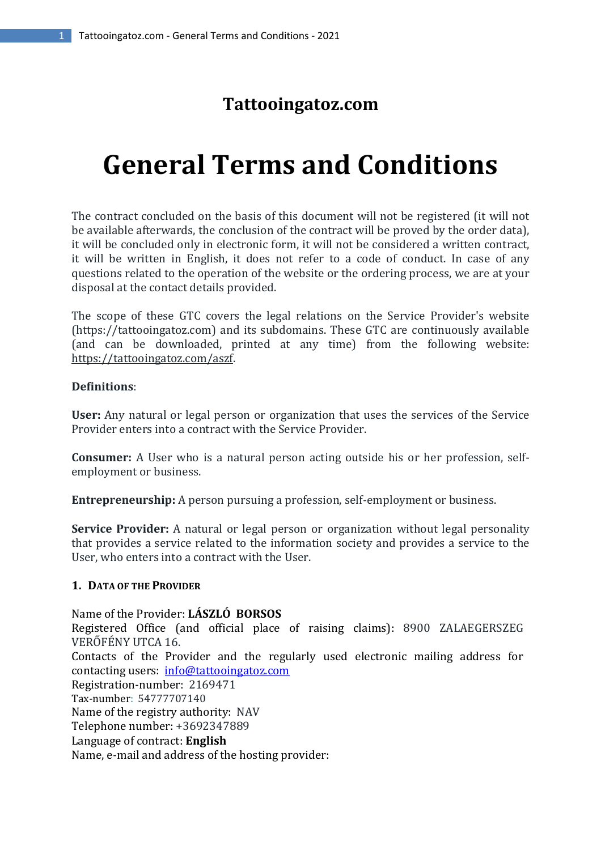# **Tattooingatoz.com**

# **General Terms and Conditions**

The contract concluded on the basis of this document will not be registered (it will not be available afterwards, the conclusion of the contract will be proved by the order data), it will be concluded only in electronic form, it will not be considered a written contract, it will be written in English, it does not refer to a code of conduct. In case of any questions related to the operation of the website or the ordering process, we are at your disposal at the contact details provided.

The scope of these GTC covers the legal relations on the Service Provider's website (https://tattooingatoz.com) and its subdomains. These GTC are continuously available (and can be downloaded, printed at any time) from the following website: https://tattooingatoz.com/aszf.

# **Definitions**:

**User:** Any natural or legal person or organization that uses the services of the Service Provider enters into a contract with the Service Provider.

**Consumer:** A User who is a natural person acting outside his or her profession, selfemployment or business.

**Entrepreneurship:** A person pursuing a profession, self-employment or business.

**Service Provider:** A natural or legal person or organization without legal personality that provides a service related to the information society and provides a service to the User, who enters into a contract with the User.

# **1. DATA OF THE PROVIDER**

Name of the Provider: **LÁSZLÓ BORSOS**

Registered Office (and official place of raising claims): 8900 ZALAEGERSZEG VERŐFÉNY UTCA 16.

Contacts of the Provider and the regularly used electronic mailing address for contacting users: info@tattooingatoz.com

Registration-number: 2169471

Tax-number: 54777707140

Name of the registry authority: NAV

Telephone number: +3692347889

Language of contract: **English**

Name, e-mail and address of the hosting provider: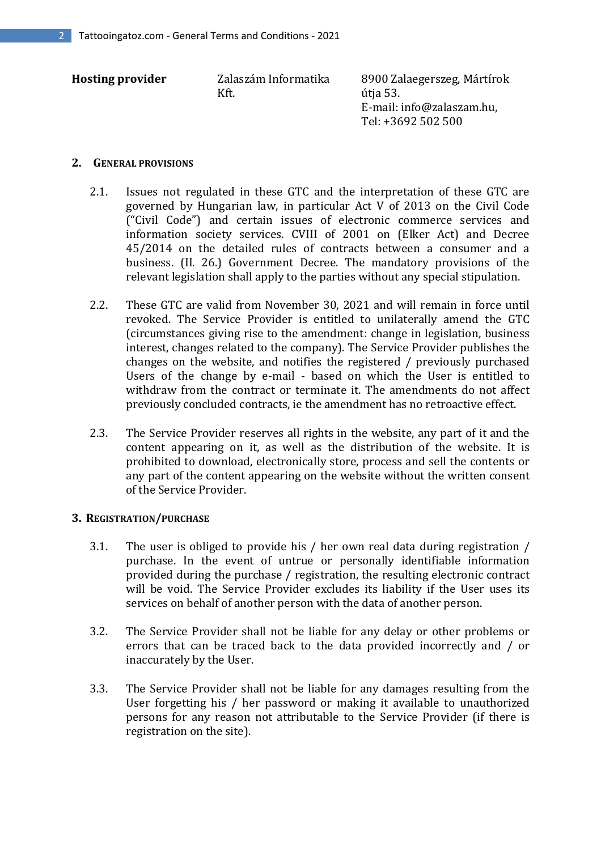| <b>Hosting provider</b> | Zalaszám Informatika<br>Kft. | 8900 Zalaegerszeg, Mártírok<br>útja 53.<br>E-mail: info@zalaszam.hu,<br>Tel: +3692 502 500 |
|-------------------------|------------------------------|--------------------------------------------------------------------------------------------|
|                         |                              |                                                                                            |

#### **2. GENERAL PROVISIONS**

- 2.1. Issues not regulated in these GTC and the interpretation of these GTC are governed by Hungarian law, in particular Act V of 2013 on the Civil Code ("Civil Code") and certain issues of electronic commerce services and information society services. CVIII of 2001 on (Elker Act) and Decree 45/2014 on the detailed rules of contracts between a consumer and a business. (II. 26.) Government Decree. The mandatory provisions of the relevant legislation shall apply to the parties without any special stipulation.
- 2.2. These GTC are valid from November 30, 2021 and will remain in force until revoked. The Service Provider is entitled to unilaterally amend the GTC (circumstances giving rise to the amendment: change in legislation, business interest, changes related to the company). The Service Provider publishes the changes on the website, and notifies the registered / previously purchased Users of the change by e-mail - based on which the User is entitled to withdraw from the contract or terminate it. The amendments do not affect previously concluded contracts, ie the amendment has no retroactive effect.
- 2.3. The Service Provider reserves all rights in the website, any part of it and the content appearing on it, as well as the distribution of the website. It is prohibited to download, electronically store, process and sell the contents or any part of the content appearing on the website without the written consent of the Service Provider.

# **3. REGISTRATION/PURCHASE**

- 3.1. The user is obliged to provide his / her own real data during registration / purchase. In the event of untrue or personally identifiable information provided during the purchase / registration, the resulting electronic contract will be void. The Service Provider excludes its liability if the User uses its services on behalf of another person with the data of another person.
- 3.2. The Service Provider shall not be liable for any delay or other problems or errors that can be traced back to the data provided incorrectly and / or inaccurately by the User.
- 3.3. The Service Provider shall not be liable for any damages resulting from the User forgetting his / her password or making it available to unauthorized persons for any reason not attributable to the Service Provider (if there is registration on the site).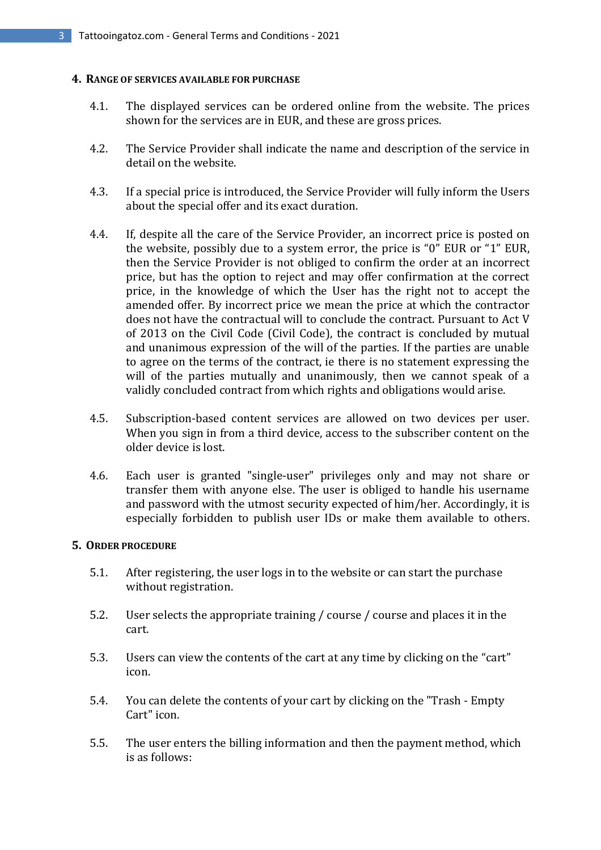#### **4. RANGE OF SERVICES AVAILABLE FOR PURCHASE**

- 4.1. The displayed services can be ordered online from the website. The prices shown for the services are in EUR, and these are gross prices.
- 4.2. The Service Provider shall indicate the name and description of the service in detail on the website.
- 4.3. If a special price is introduced, the Service Provider will fully inform the Users about the special offer and its exact duration.
- 4.4. If, despite all the care of the Service Provider, an incorrect price is posted on the website, possibly due to a system error, the price is "0" EUR or "1" EUR, then the Service Provider is not obliged to confirm the order at an incorrect price, but has the option to reject and may offer confirmation at the correct price, in the knowledge of which the User has the right not to accept the amended offer. By incorrect price we mean the price at which the contractor does not have the contractual will to conclude the contract. Pursuant to Act V of 2013 on the Civil Code (Civil Code), the contract is concluded by mutual and unanimous expression of the will of the parties. If the parties are unable to agree on the terms of the contract, ie there is no statement expressing the will of the parties mutually and unanimously, then we cannot speak of a validly concluded contract from which rights and obligations would arise.
- 4.5. Subscription-based content services are allowed on two devices per user. When you sign in from a third device, access to the subscriber content on the older device is lost.
- 4.6. Each user is granted "single-user" privileges only and may not share or transfer them with anyone else. The user is obliged to handle his username and password with the utmost security expected of him/her. Accordingly, it is especially forbidden to publish user IDs or make them available to others.

# **5. ORDER PROCEDURE**

- 5.1. After registering, the user logs in to the website or can start the purchase without registration.
- 5.2. User selects the appropriate training / course / course and places it in the cart.
- 5.3. Users can view the contents of the cart at any time by clicking on the "cart" icon.
- 5.4. You can delete the contents of your cart by clicking on the "Trash Empty Cart" icon.
- 5.5. The user enters the billing information and then the payment method, which is as follows: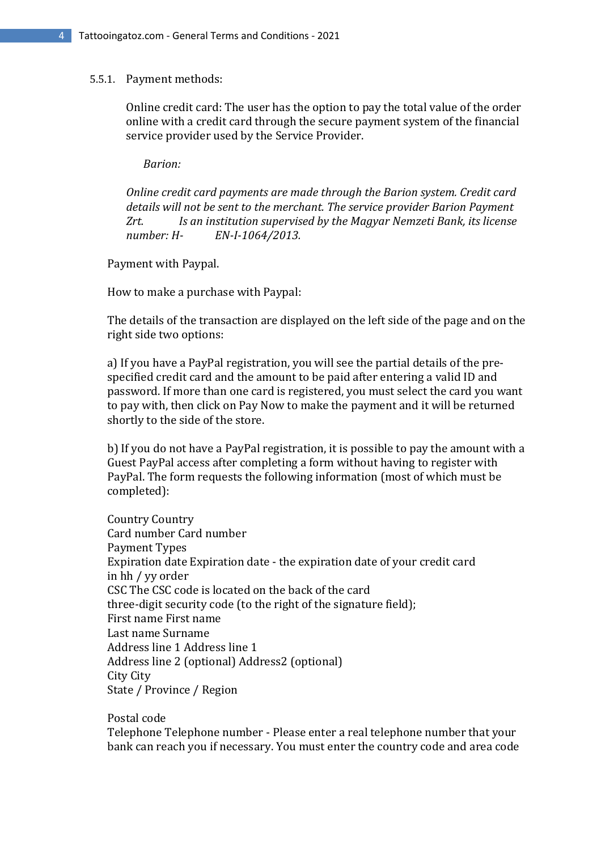#### 5.5.1. Payment methods:

Online credit card: The user has the option to pay the total value of the order online with a credit card through the secure payment system of the financial service provider used by the Service Provider.

 *Barion:*

*Online credit card payments are made through the Barion system. Credit card details will not be sent to the merchant. The service provider Barion Payment Zrt. Is an institution supervised by the Magyar Nemzeti Bank, its license number: H- EN-I-1064/2013.*

Payment with Paypal.

How to make a purchase with Paypal:

 The details of the transaction are displayed on the left side of the page and on the right side two options:

 a) If you have a PayPal registration, you will see the partial details of the pre specified credit card and the amount to be paid after entering a valid ID and password. If more than one card is registered, you must select the card you want to pay with, then click on Pay Now to make the payment and it will be returned shortly to the side of the store.

 b) If you do not have a PayPal registration, it is possible to pay the amount with a Guest PayPal access after completing a form without having to register with PayPal. The form requests the following information (most of which must be completed):

 Country Country Card number Card number Payment Types Expiration date Expiration date - the expiration date of your credit card in hh / yy order CSC The CSC code is located on the back of the card three-digit security code (to the right of the signature field); First name First name Last name Surname Address line 1 Address line 1 Address line 2 (optional) Address2 (optional) City City State / Province / Region

Postal code

 Telephone Telephone number - Please enter a real telephone number that your bank can reach you if necessary. You must enter the country code and area code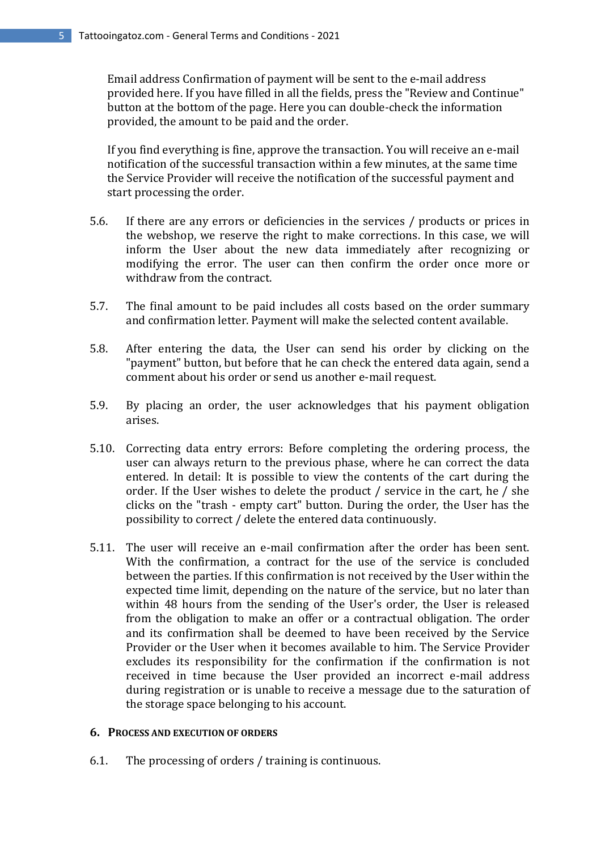Email address Confirmation of payment will be sent to the e-mail address provided here. If you have filled in all the fields, press the "Review and Continue" button at the bottom of the page. Here you can double-check the information provided, the amount to be paid and the order.

 If you find everything is fine, approve the transaction. You will receive an e-mail notification of the successful transaction within a few minutes, at the same time the Service Provider will receive the notification of the successful payment and start processing the order.

- 5.6. If there are any errors or deficiencies in the services / products or prices in the webshop, we reserve the right to make corrections. In this case, we will inform the User about the new data immediately after recognizing or modifying the error. The user can then confirm the order once more or withdraw from the contract.
- 5.7. The final amount to be paid includes all costs based on the order summary and confirmation letter. Payment will make the selected content available.
- 5.8. After entering the data, the User can send his order by clicking on the "payment" button, but before that he can check the entered data again, send a comment about his order or send us another e-mail request.
- 5.9. By placing an order, the user acknowledges that his payment obligation arises.
- 5.10. Correcting data entry errors: Before completing the ordering process, the user can always return to the previous phase, where he can correct the data entered. In detail: It is possible to view the contents of the cart during the order. If the User wishes to delete the product / service in the cart, he / she clicks on the "trash - empty cart" button. During the order, the User has the possibility to correct / delete the entered data continuously.
- 5.11. The user will receive an e-mail confirmation after the order has been sent. With the confirmation, a contract for the use of the service is concluded between the parties. If this confirmation is not received by the User within the expected time limit, depending on the nature of the service, but no later than within 48 hours from the sending of the User's order, the User is released from the obligation to make an offer or a contractual obligation. The order and its confirmation shall be deemed to have been received by the Service Provider or the User when it becomes available to him. The Service Provider excludes its responsibility for the confirmation if the confirmation is not received in time because the User provided an incorrect e-mail address during registration or is unable to receive a message due to the saturation of the storage space belonging to his account.

# **6. PROCESS AND EXECUTION OF ORDERS**

6.1. The processing of orders / training is continuous.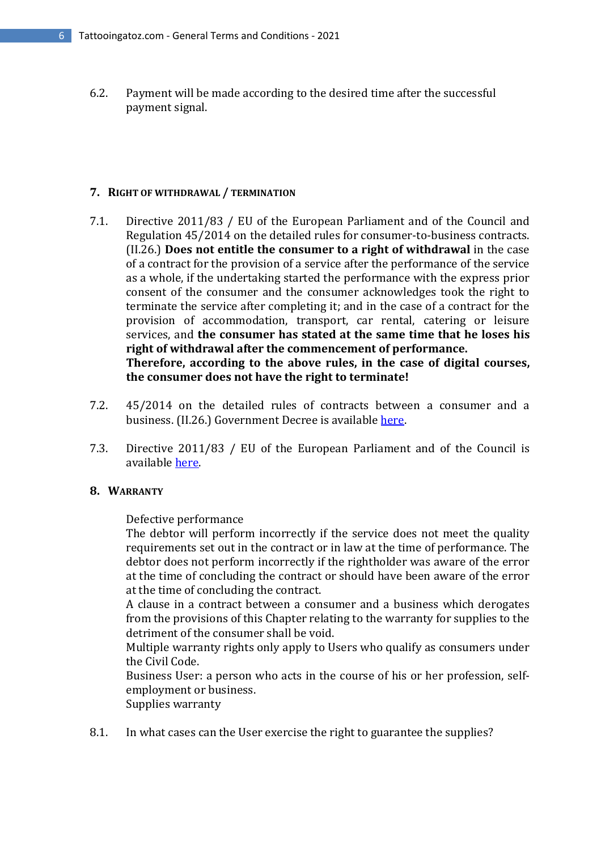6.2. Payment will be made according to the desired time after the successful payment signal.

#### **7. RIGHT OF WITHDRAWAL / TERMINATION**

- 7.1. Directive 2011/83 / EU of the European Parliament and of the Council and Regulation 45/2014 on the detailed rules for consumer-to-business contracts. (II.26.) **Does not entitle the consumer to a right of withdrawal** in the case of a contract for the provision of a service after the performance of the service as a whole, if the undertaking started the performance with the express prior consent of the consumer and the consumer acknowledges took the right to terminate the service after completing it; and in the case of a contract for the provision of accommodation, transport, car rental, catering or leisure services, and **the consumer has stated at the same time that he loses his right of withdrawal after the commencement of performance. Therefore, according to the above rules, in the case of digital courses, the consumer does not have the right to terminate!**
- 7.2. 45/2014 on the detailed rules of contracts between a consumer and a business. (II.26.) Government Decree is available here.
- 7.3. Directive 2011/83 / EU of the European Parliament and of the Council is available here.

# **8. WARRANTY**

Defective performance

The debtor will perform incorrectly if the service does not meet the quality requirements set out in the contract or in law at the time of performance. The debtor does not perform incorrectly if the rightholder was aware of the error at the time of concluding the contract or should have been aware of the error at the time of concluding the contract.

A clause in a contract between a consumer and a business which derogates from the provisions of this Chapter relating to the warranty for supplies to the detriment of the consumer shall be void.

Multiple warranty rights only apply to Users who qualify as consumers under the Civil Code.

Business User: a person who acts in the course of his or her profession, selfemployment or business.

Supplies warranty

8.1. In what cases can the User exercise the right to guarantee the supplies?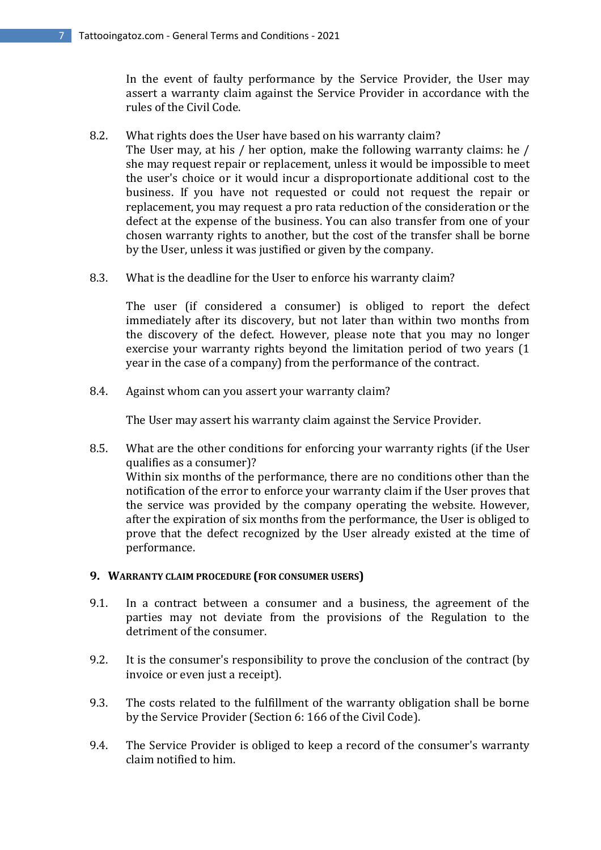In the event of faulty performance by the Service Provider, the User may assert a warranty claim against the Service Provider in accordance with the rules of the Civil Code.

- 8.2. What rights does the User have based on his warranty claim? The User may, at his / her option, make the following warranty claims: he / she may request repair or replacement, unless it would be impossible to meet the user's choice or it would incur a disproportionate additional cost to the business. If you have not requested or could not request the repair or replacement, you may request a pro rata reduction of the consideration or the defect at the expense of the business. You can also transfer from one of your chosen warranty rights to another, but the cost of the transfer shall be borne by the User, unless it was justified or given by the company.
- 8.3. What is the deadline for the User to enforce his warranty claim?

The user (if considered a consumer) is obliged to report the defect immediately after its discovery, but not later than within two months from the discovery of the defect. However, please note that you may no longer exercise your warranty rights beyond the limitation period of two years (1 year in the case of a company) from the performance of the contract.

8.4. Against whom can you assert your warranty claim?

The User may assert his warranty claim against the Service Provider.

8.5. What are the other conditions for enforcing your warranty rights (if the User qualifies as a consumer)? Within six months of the performance, there are no conditions other than the notification of the error to enforce your warranty claim if the User proves that the service was provided by the company operating the website. However, after the expiration of six months from the performance, the User is obliged to prove that the defect recognized by the User already existed at the time of performance.

#### **9. WARRANTY CLAIM PROCEDURE (FOR CONSUMER USERS)**

- 9.1. In a contract between a consumer and a business, the agreement of the parties may not deviate from the provisions of the Regulation to the detriment of the consumer.
- 9.2. It is the consumer's responsibility to prove the conclusion of the contract (by invoice or even just a receipt).
- 9.3. The costs related to the fulfillment of the warranty obligation shall be borne by the Service Provider (Section 6: 166 of the Civil Code).
- 9.4. The Service Provider is obliged to keep a record of the consumer's warranty claim notified to him.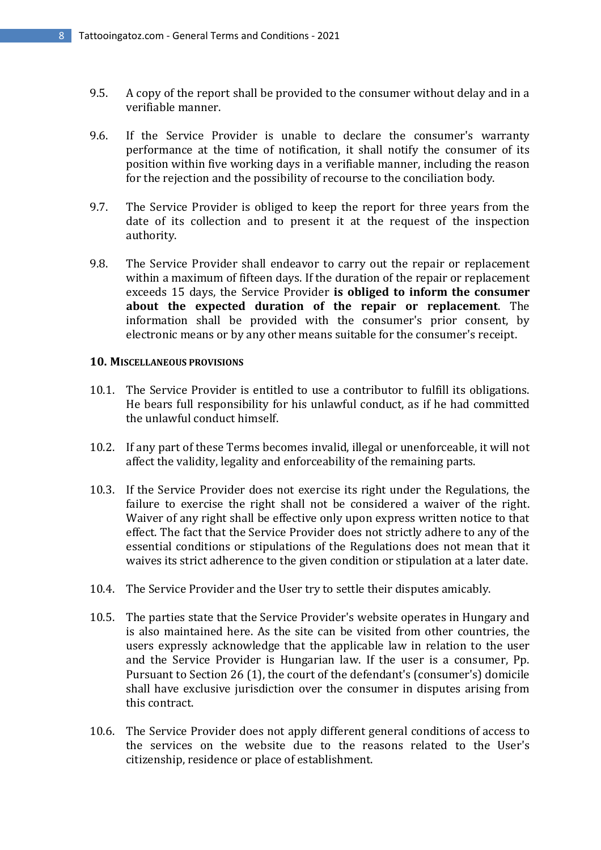- 9.5. A copy of the report shall be provided to the consumer without delay and in a verifiable manner.
- 9.6. If the Service Provider is unable to declare the consumer's warranty performance at the time of notification, it shall notify the consumer of its position within five working days in a verifiable manner, including the reason for the rejection and the possibility of recourse to the conciliation body.
- 9.7. The Service Provider is obliged to keep the report for three years from the date of its collection and to present it at the request of the inspection authority.
- 9.8. The Service Provider shall endeavor to carry out the repair or replacement within a maximum of fifteen days. If the duration of the repair or replacement exceeds 15 days, the Service Provider **is obliged to inform the consumer about the expected duration of the repair or replacement**. The information shall be provided with the consumer's prior consent, by electronic means or by any other means suitable for the consumer's receipt.

#### **10. MISCELLANEOUS PROVISIONS**

- 10.1. The Service Provider is entitled to use a contributor to fulfill its obligations. He bears full responsibility for his unlawful conduct, as if he had committed the unlawful conduct himself.
- 10.2. If any part of these Terms becomes invalid, illegal or unenforceable, it will not affect the validity, legality and enforceability of the remaining parts.
- 10.3. If the Service Provider does not exercise its right under the Regulations, the failure to exercise the right shall not be considered a waiver of the right. Waiver of any right shall be effective only upon express written notice to that effect. The fact that the Service Provider does not strictly adhere to any of the essential conditions or stipulations of the Regulations does not mean that it waives its strict adherence to the given condition or stipulation at a later date.
- 10.4. The Service Provider and the User try to settle their disputes amicably.
- 10.5. The parties state that the Service Provider's website operates in Hungary and is also maintained here. As the site can be visited from other countries, the users expressly acknowledge that the applicable law in relation to the user and the Service Provider is Hungarian law. If the user is a consumer, Pp. Pursuant to Section 26 (1), the court of the defendant's (consumer's) domicile shall have exclusive jurisdiction over the consumer in disputes arising from this contract.
- 10.6. The Service Provider does not apply different general conditions of access to the services on the website due to the reasons related to the User's citizenship, residence or place of establishment.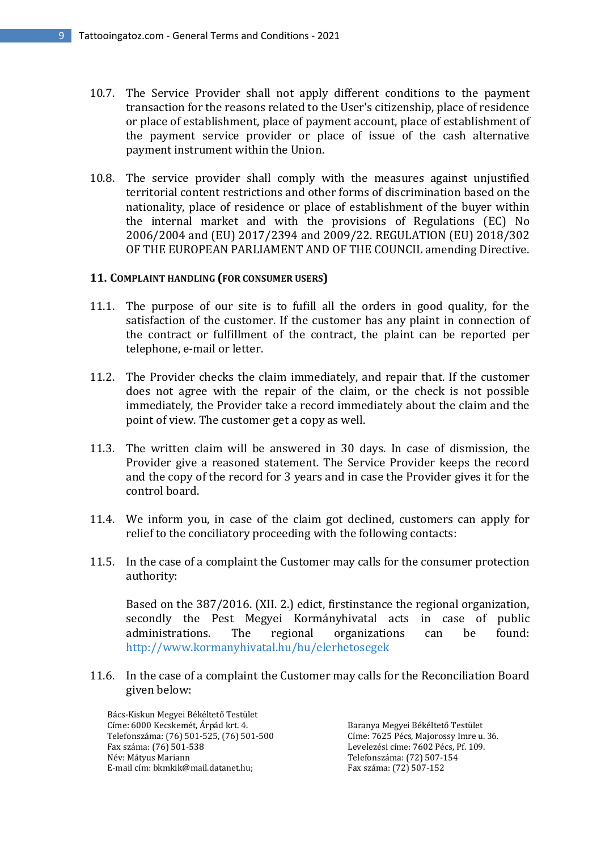- 10.7. The Service Provider shall not apply different conditions to the payment transaction for the reasons related to the User's citizenship, place of residence or place of establishment, place of payment account, place of establishment of the payment service provider or place of issue of the cash alternative payment instrument within the Union.
- 10.8. The service provider shall comply with the measures against unjustified territorial content restrictions and other forms of discrimination based on the nationality, place of residence or place of establishment of the buyer within the internal market and with the provisions of Regulations (EC) No 2006/2004 and (EU) 2017/2394 and 2009/22. REGULATION (EU) 2018/302 OF THE EUROPEAN PARLIAMENT AND OF THE COUNCIL amending Directive.

# **11. COMPLAINT HANDLING (FOR CONSUMER USERS)**

- 11.1. The purpose of our site is to fufill all the orders in good quality, for the satisfaction of the customer. If the customer has any plaint in connection of the contract or fulfillment of the contract, the plaint can be reported per telephone, e-mail or letter.
- 11.2. The Provider checks the claim immediately, and repair that. If the customer does not agree with the repair of the claim, or the check is not possible immediately, the Provider take a record immediately about the claim and the point of view. The customer get a copy as well.
- 11.3. The written claim will be answered in 30 days. In case of dismission, the Provider give a reasoned statement. The Service Provider keeps the record and the copy of the record for 3 years and in case the Provider gives it for the control board.
- 11.4. We inform you, in case of the claim got declined, customers can apply for relief to the conciliatory proceeding with the following contacts:
- 11.5. In the case of a complaint the Customer may calls for the consumer protection authority:

Based on the 387/2016. (XII. 2.) edict, firstinstance the regional organization, secondly the Pest Megyei Kormányhivatal acts in case of public administrations. The regional organizations can be found: http://www.kormanyhivatal.hu/hu/elerhetosegek

11.6. In the case of a complaint the Customer may calls for the Reconciliation Board given below:

Bács-Kiskun Megyei Békéltető Testület Címe: 6000 Kecskemét, Árpád krt. 4. Telefonszáma: (76) 501-525, (76) 501-500 Fax száma: (76) 501-538 Név: Mátyus Mariann E-mail cím: bkmkik@mail.datanet.hu;

Baranya Megyei Békéltető Testület Címe: 7625 Pécs, Majorossy Imre u. 36. Levelezési címe: 7602 Pécs, Pf. 109. Telefonszáma: (72) 507-154 Fax száma: (72) 507-152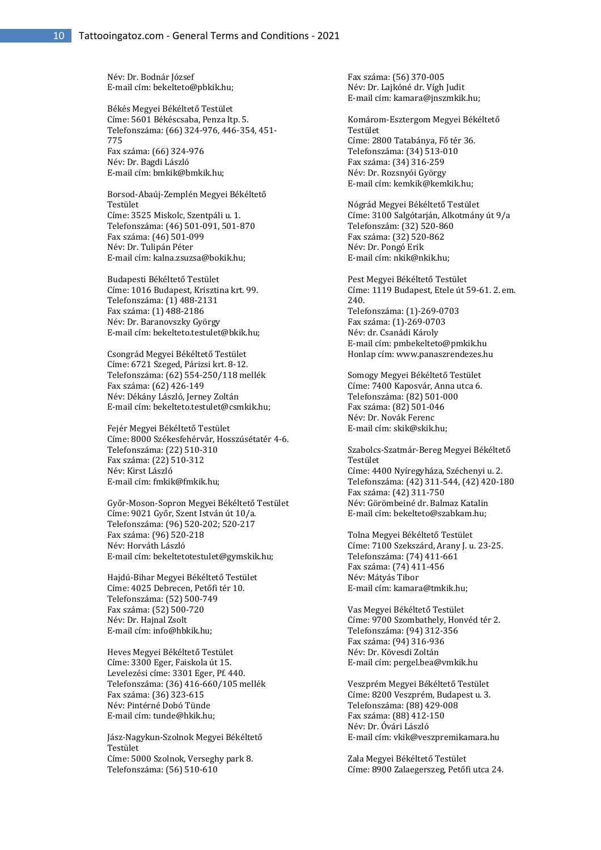Név: Dr. Bodnár József E-mail cím: bekelteto@pbkik.hu;

Békés Megyei Békéltető Testület Címe: 5601 Békéscsaba, Penza ltp. 5. Telefonszáma: (66) 324-976, 446-354, 451- 775 Fax száma: (66) 324-976 Név: Dr. Bagdi László E-mail cím: bmkik@bmkik.hu;

Borsod-Abaúj-Zemplén Megyei Békéltető Testület Címe: 3525 Miskolc, Szentpáli u. 1. Telefonszáma: (46) 501-091, 501-870 Fax száma: (46) 501-099 Név: Dr. Tulipán Péter E-mail cím: kalna.zsuzsa@bokik.hu;

Budapesti Békéltető Testület Címe: 1016 Budapest, Krisztina krt. 99. Telefonszáma: (1) 488-2131 Fax száma: (1) 488-2186 Név: Dr. Baranovszky György E-mail cím: bekelteto.testulet@bkik.hu;

Csongrád Megyei Békéltető Testület Címe: 6721 Szeged, Párizsi krt. 8-12. Telefonszáma: (62) 554-250/118 mellék Fax száma: (62) 426-149 Név: Dékány László, Jerney Zoltán E-mail cím: bekelteto.testulet@csmkik.hu;

Fejér Megyei Békéltető Testület Címe: 8000 Székesfehérvár, Hosszúsétatér 4-6. Telefonszáma: (22) 510-310 Fax száma: (22) 510-312 Név: Kirst László E-mail cím: fmkik@fmkik.hu;

Győr-Moson-Sopron Megyei Békéltető Testület Címe: 9021 Győr, Szent István út 10/a. Telefonszáma: (96) 520-202; 520-217 Fax száma: (96) 520-218 Név: Horváth László E-mail cím: bekeltetotestulet@gymskik.hu;

Hajdú-Bihar Megyei Békéltető Testület Címe: 4025 Debrecen, Petőfi tér 10. Telefonszáma: (52) 500-749 Fax száma: (52) 500-720 Név: Dr. Hajnal Zsolt E-mail cím: info@hbkik.hu;

Heves Megyei Békéltető Testület Címe: 3300 Eger, Faiskola út 15. Levelezési címe: 3301 Eger, Pf. 440. Telefonszáma: (36) 416-660/105 mellék Fax száma: (36) 323-615 Név: Pintérné Dobó Tünde E-mail cím: tunde@hkik.hu;

Jász-Nagykun-Szolnok Megyei Békéltető Testület Címe: 5000 Szolnok, Verseghy park 8. Telefonszáma: (56) 510-610

Fax száma: (56) 370-005 Név: Dr. Lajkóné dr. Vígh Judit E-mail cím: kamara@jnszmkik.hu;

Komárom-Esztergom Megyei Békéltető Testület Címe: 2800 Tatabánya, Fő tér 36. Telefonszáma: (34) 513-010 Fax száma: (34) 316-259 Név: Dr. Rozsnyói György E-mail cím: kemkik@kemkik.hu;

Nógrád Megyei Békéltető Testület Címe: 3100 Salgótarján, Alkotmány út 9/a Telefonszám: (32) 520-860 Fax száma: (32) 520-862 Név: Dr. Pongó Erik E-mail cím: nkik@nkik.hu;

Pest Megyei Békéltető Testület Címe: 1119 Budapest, Etele út 59-61. 2. em. 240. Telefonszáma: (1)-269-0703 Fax száma: (1)-269-0703 Név: dr. Csanádi Károly E-mail cím: pmbekelteto@pmkik.hu Honlap cím: www.panaszrendezes.hu

Somogy Megyei Békéltető Testület Címe: 7400 Kaposvár, Anna utca 6. Telefonszáma: (82) 501-000 Fax száma: (82) 501-046 Név: Dr. Novák Ferenc E-mail cím: skik@skik.hu;

Szabolcs-Szatmár-Bereg Megyei Békéltető Testület Címe: 4400 Nyíregyháza, Széchenyi u. 2. Telefonszáma: (42) 311-544, (42) 420-180 Fax száma: (42) 311-750 Név: Görömbeiné dr. Balmaz Katalin E-mail cím: bekelteto@szabkam.hu;

Tolna Megyei Békéltető Testület Címe: 7100 Szekszárd, Arany J. u. 23-25. Telefonszáma: (74) 411-661 Fax száma: (74) 411-456 Név: Mátyás Tibor E-mail cím: kamara@tmkik.hu;

Vas Megyei Békéltető Testület Címe: 9700 Szombathely, Honvéd tér 2. Telefonszáma: (94) 312-356 Fax száma: (94) 316-936 Név: Dr. Kövesdi Zoltán E-mail cím: pergel.bea@vmkik.hu

Veszprém Megyei Békéltető Testület Címe: 8200 Veszprém, Budapest u. 3. Telefonszáma: (88) 429-008 Fax száma: (88) 412-150 Név: Dr. Óvári László E-mail cím: vkik@veszpremikamara.hu

Zala Megyei Békéltető Testület Címe: 8900 Zalaegerszeg, Petőfi utca 24.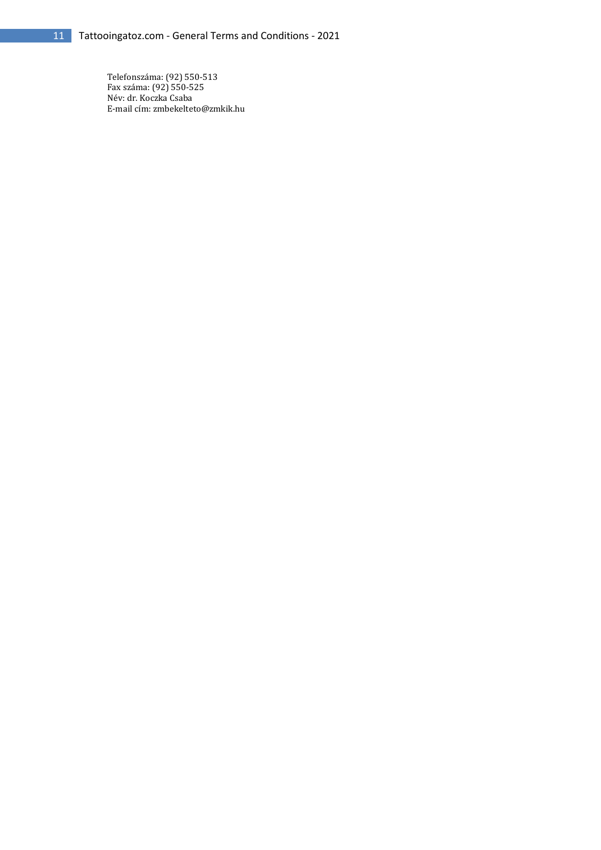Telefonszáma: (92) 550-513 Fax száma: (92) 550-525 Név: dr. Koczka Csaba E-mail cím: zmbekelteto@zmkik.hu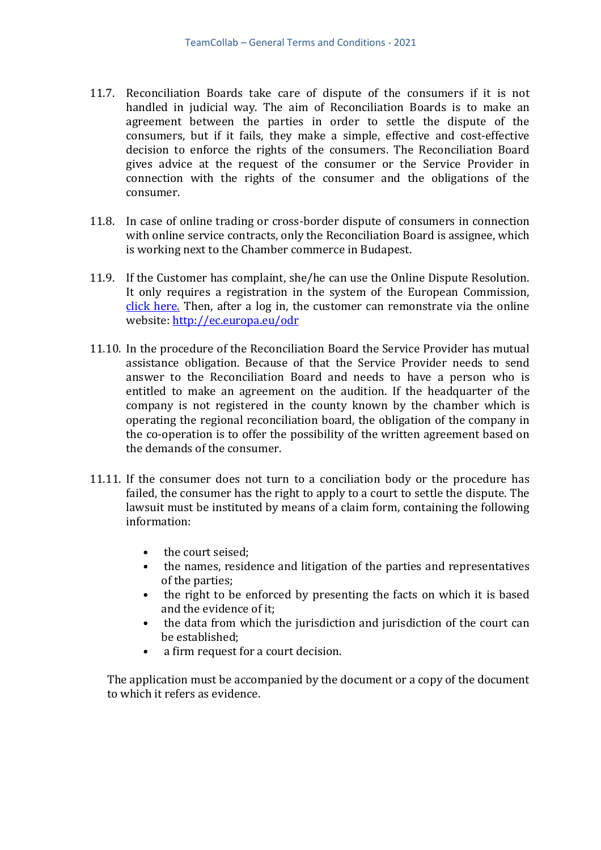- 11.7. Reconciliation Boards take care of dispute of the consumers if it is not handled in judicial way. The aim of Reconciliation Boards is to make an agreement between the parties in order to settle the dispute of the consumers, but if it fails, they make a simple, effective and cost-effective decision to enforce the rights of the consumers. The Reconciliation Board gives advice at the request of the consumer or the Service Provider in connection with the rights of the consumer and the obligations of the consumer.
- 11.8. In case of online trading or cross-border dispute of consumers in connection with online service contracts, only the Reconciliation Board is assignee, which is working next to the Chamber commerce in Budapest.
- 11.9. If the Customer has complaint, she/he can use the Online Dispute Resolution. It only requires a registration in the system of the European Commission, click here. Then, after a log in, the customer can remonstrate via the online website: http://ec.europa.eu/odr
- 11.10. In the procedure of the Reconciliation Board the Service Provider has mutual assistance obligation. Because of that the Service Provider needs to send answer to the Reconciliation Board and needs to have a person who is entitled to make an agreement on the audition. If the headquarter of the company is not registered in the county known by the chamber which is operating the regional reconciliation board, the obligation of the company in the co-operation is to offer the possibility of the written agreement based on the demands of the consumer.
- 11.11. If the consumer does not turn to a conciliation body or the procedure has failed, the consumer has the right to apply to a court to settle the dispute. The lawsuit must be instituted by means of a claim form, containing the following information:
	- the court seised:
	- the names, residence and litigation of the parties and representatives of the parties;
	- the right to be enforced by presenting the facts on which it is based and the evidence of it;
	- the data from which the jurisdiction and jurisdiction of the court can be established;
	- a firm request for a court decision.

The application must be accompanied by the document or a copy of the document to which it refers as evidence.